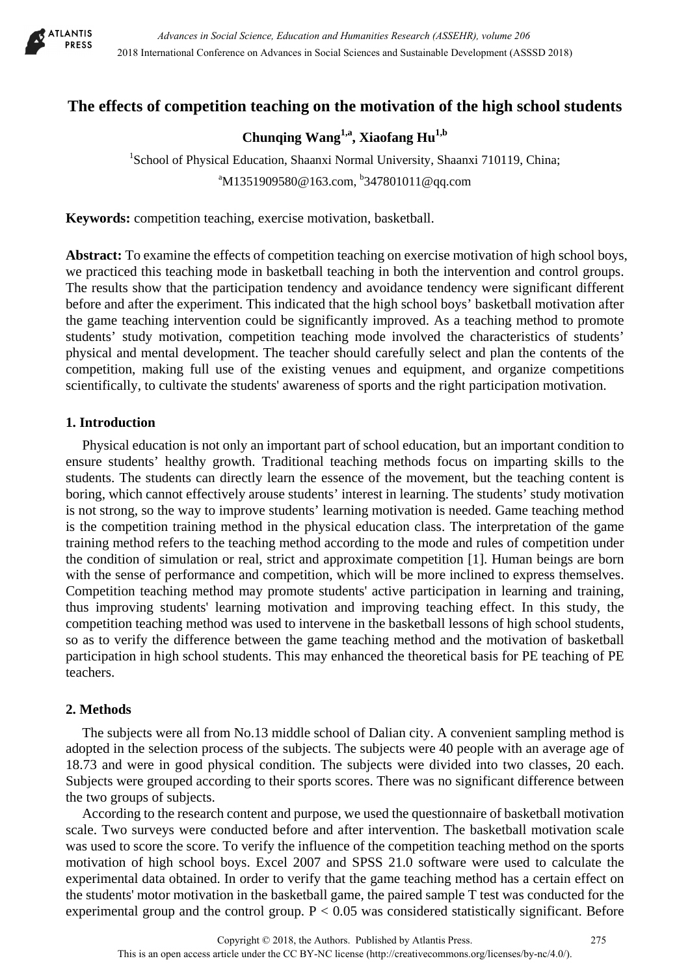

# **The effects of competition teaching on the motivation of the high school students**

# **Chunqing Wang1,a, Xiaofang Hu1,b**

<sup>1</sup>School of Physical Education, Shaanxi Normal University, Shaanxi 710119, China; <sup>a</sup>M1351909580@163.com, <sup>b</sup>347801011@qq.com

**Keywords:** competition teaching, exercise motivation, basketball.

**Abstract:** To examine the effects of competition teaching on exercise motivation of high school boys, we practiced this teaching mode in basketball teaching in both the intervention and control groups. The results show that the participation tendency and avoidance tendency were significant different before and after the experiment. This indicated that the high school boys' basketball motivation after the game teaching intervention could be significantly improved. As a teaching method to promote students' study motivation, competition teaching mode involved the characteristics of students' physical and mental development. The teacher should carefully select and plan the contents of the competition, making full use of the existing venues and equipment, and organize competitions scientifically, to cultivate the students' awareness of sports and the right participation motivation.

#### **1. Introduction**

Physical education is not only an important part of school education, but an important condition to ensure students' healthy growth. Traditional teaching methods focus on imparting skills to the students. The students can directly learn the essence of the movement, but the teaching content is boring, which cannot effectively arouse students' interest in learning. The students' study motivation is not strong, so the way to improve students' learning motivation is needed. Game teaching method is the competition training method in the physical education class. The interpretation of the game training method refers to the teaching method according to the mode and rules of competition under the condition of simulation or real, strict and approximate competition [1]. Human beings are born with the sense of performance and competition, which will be more inclined to express themselves. Competition teaching method may promote students' active participation in learning and training, thus improving students' learning motivation and improving teaching effect. In this study, the competition teaching method was used to intervene in the basketball lessons of high school students, so as to verify the difference between the game teaching method and the motivation of basketball participation in high school students. This may enhanced the theoretical basis for PE teaching of PE teachers.

### **2. Methods**

The subjects were all from No.13 middle school of Dalian city. A convenient sampling method is adopted in the selection process of the subjects. The subjects were 40 people with an average age of 18.73 and were in good physical condition. The subjects were divided into two classes, 20 each. Subjects were grouped according to their sports scores. There was no significant difference between the two groups of subjects.

According to the research content and purpose, we used the questionnaire of basketball motivation scale. Two surveys were conducted before and after intervention. The basketball motivation scale was used to score the score. To verify the influence of the competition teaching method on the sports motivation of high school boys. Excel 2007 and SPSS 21.0 software were used to calculate the experimental data obtained. In order to verify that the game teaching method has a certain effect on the students' motor motivation in the basketball game, the paired sample T test was conducted for the experimental group and the control group.  $P < 0.05$  was considered statistically significant. Before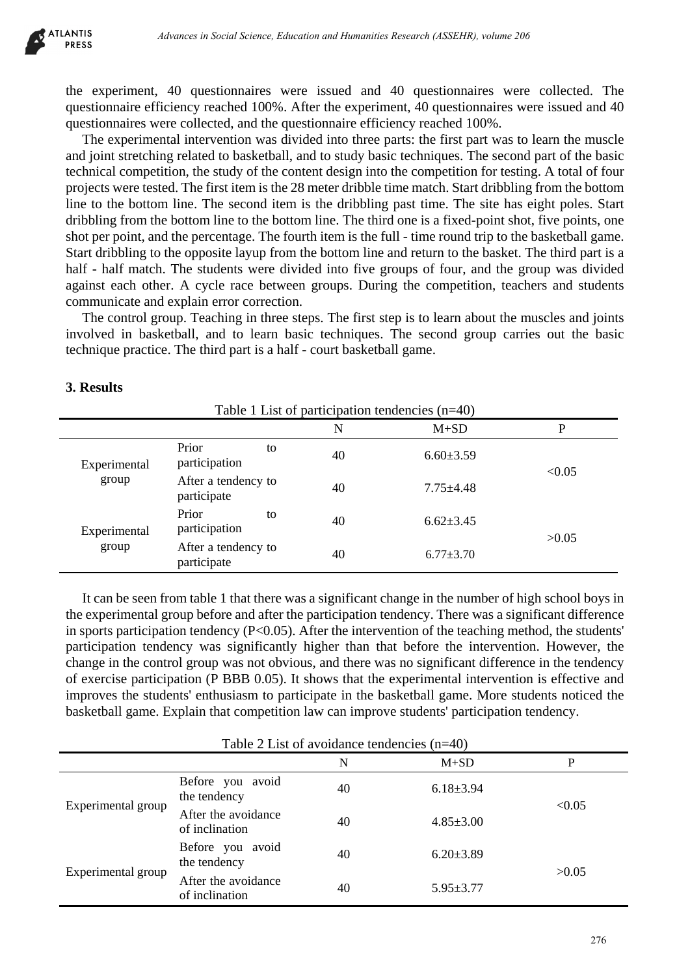| LANIIS<br><b>PRESS</b>                                                                                                                                                                                                                                                                                                                                                                                                                                                                                                                                                                                                                                                                                                                                                                                                                                                                                                                                                                                                                                                                                                                                                                                                                                                                                                                                                                                                                                                            |                                                    |    |                                                   | Advances in Social Science, Education and Humanities Research (ASSEHR), volume 206 |                                                                                                                                                                                                         |
|-----------------------------------------------------------------------------------------------------------------------------------------------------------------------------------------------------------------------------------------------------------------------------------------------------------------------------------------------------------------------------------------------------------------------------------------------------------------------------------------------------------------------------------------------------------------------------------------------------------------------------------------------------------------------------------------------------------------------------------------------------------------------------------------------------------------------------------------------------------------------------------------------------------------------------------------------------------------------------------------------------------------------------------------------------------------------------------------------------------------------------------------------------------------------------------------------------------------------------------------------------------------------------------------------------------------------------------------------------------------------------------------------------------------------------------------------------------------------------------|----------------------------------------------------|----|---------------------------------------------------|------------------------------------------------------------------------------------|---------------------------------------------------------------------------------------------------------------------------------------------------------------------------------------------------------|
| the experiment, 40 questionnaires were issued and 40 questionnaires were collected. The<br>questionnaire efficiency reached 100%. After the experiment, 40 questionnaires were issued and 4<br>questionnaires were collected, and the questionnaire efficiency reached 100%.<br>and joint stretching related to basketball, and to study basic techniques. The second part of the basi<br>technical competition, the study of the content design into the competition for testing. A total of four-<br>projects were tested. The first item is the 28 meter dribble time match. Start dribbling from the bottor<br>line to the bottom line. The second item is the dribbling past time. The site has eight poles. Star<br>dribbling from the bottom line to the bottom line. The third one is a fixed-point shot, five points, on<br>shot per point, and the percentage. The fourth item is the full - time round trip to the basketball game<br>Start dribbling to the opposite layup from the bottom line and return to the basket. The third part is<br>half - half match. The students were divided into five groups of four, and the group was divide<br>against each other. A cycle race between groups. During the competition, teachers and student<br>communicate and explain error correction.<br>involved in basketball, and to learn basic techniques. The second group carries out the basi<br>technique practice. The third part is a half - court basketball game. |                                                    |    |                                                   |                                                                                    | The experimental intervention was divided into three parts: the first part was to learn the muscl<br>The control group. Teaching in three steps. The first step is to learn about the muscles and joint |
| 3. Results                                                                                                                                                                                                                                                                                                                                                                                                                                                                                                                                                                                                                                                                                                                                                                                                                                                                                                                                                                                                                                                                                                                                                                                                                                                                                                                                                                                                                                                                        |                                                    |    | Table 1 List of participation tendencies $(n=40)$ |                                                                                    |                                                                                                                                                                                                         |
|                                                                                                                                                                                                                                                                                                                                                                                                                                                                                                                                                                                                                                                                                                                                                                                                                                                                                                                                                                                                                                                                                                                                                                                                                                                                                                                                                                                                                                                                                   |                                                    |    | $\mathbf N$                                       | $M+SD$                                                                             | P                                                                                                                                                                                                       |
| Experimental<br>group                                                                                                                                                                                                                                                                                                                                                                                                                                                                                                                                                                                                                                                                                                                                                                                                                                                                                                                                                                                                                                                                                                                                                                                                                                                                                                                                                                                                                                                             | Prior<br>participation                             | to | 40                                                | $6.60 \pm 3.59$                                                                    | < 0.05                                                                                                                                                                                                  |
|                                                                                                                                                                                                                                                                                                                                                                                                                                                                                                                                                                                                                                                                                                                                                                                                                                                                                                                                                                                                                                                                                                                                                                                                                                                                                                                                                                                                                                                                                   | After a tendency to<br>participate                 |    | 40                                                | $7.75 \pm 4.48$                                                                    |                                                                                                                                                                                                         |
| Experimental<br>group                                                                                                                                                                                                                                                                                                                                                                                                                                                                                                                                                                                                                                                                                                                                                                                                                                                                                                                                                                                                                                                                                                                                                                                                                                                                                                                                                                                                                                                             | Prior<br>participation                             | to | 40                                                | $6.62{\pm}3.45$                                                                    | >0.05                                                                                                                                                                                                   |
|                                                                                                                                                                                                                                                                                                                                                                                                                                                                                                                                                                                                                                                                                                                                                                                                                                                                                                                                                                                                                                                                                                                                                                                                                                                                                                                                                                                                                                                                                   | After a tendency to<br>participate                 |    | 40                                                | $6.77 \pm 3.70$                                                                    |                                                                                                                                                                                                         |
| the experimental group before and after the participation tendency. There was a significant differenc<br>in sports participation tendency ( $P<0.05$ ). After the intervention of the teaching method, the students<br>participation tendency was significantly higher than that before the intervention. However, th<br>change in the control group was not obvious, and there was no significant difference in the tendenc<br>of exercise participation (P BBB 0.05). It shows that the experimental intervention is effective an<br>improves the students' enthusiasm to participate in the basketball game. More students noticed th<br>basketball game. Explain that competition law can improve students' participation tendency.                                                                                                                                                                                                                                                                                                                                                                                                                                                                                                                                                                                                                                                                                                                                           |                                                    |    |                                                   |                                                                                    | It can be seen from table 1 that there was a significant change in the number of high school boys i                                                                                                     |
|                                                                                                                                                                                                                                                                                                                                                                                                                                                                                                                                                                                                                                                                                                                                                                                                                                                                                                                                                                                                                                                                                                                                                                                                                                                                                                                                                                                                                                                                                   |                                                    |    | Table 2 List of avoidance tendencies $(n=40)$     |                                                                                    |                                                                                                                                                                                                         |
|                                                                                                                                                                                                                                                                                                                                                                                                                                                                                                                                                                                                                                                                                                                                                                                                                                                                                                                                                                                                                                                                                                                                                                                                                                                                                                                                                                                                                                                                                   | Before you avoid                                   |    | $\mathbf N$                                       | $M+SD$                                                                             | $\mathbf{P}$                                                                                                                                                                                            |
| Experimental group                                                                                                                                                                                                                                                                                                                                                                                                                                                                                                                                                                                                                                                                                                                                                                                                                                                                                                                                                                                                                                                                                                                                                                                                                                                                                                                                                                                                                                                                | the tendency<br>After the avoidance                |    | 40<br>40                                          | $6.18 \pm 3.94$<br>$4.85 \pm 3.00$                                                 | < 0.05                                                                                                                                                                                                  |
| Experimental group                                                                                                                                                                                                                                                                                                                                                                                                                                                                                                                                                                                                                                                                                                                                                                                                                                                                                                                                                                                                                                                                                                                                                                                                                                                                                                                                                                                                                                                                | of inclination<br>Before you avoid<br>the tendency |    | 40                                                | $6.20 \pm 3.89$                                                                    | >0.05                                                                                                                                                                                                   |
|                                                                                                                                                                                                                                                                                                                                                                                                                                                                                                                                                                                                                                                                                                                                                                                                                                                                                                                                                                                                                                                                                                                                                                                                                                                                                                                                                                                                                                                                                   | After the avoidance<br>of inclination              |    | 40                                                | $5.95 \pm 3.77$                                                                    |                                                                                                                                                                                                         |
|                                                                                                                                                                                                                                                                                                                                                                                                                                                                                                                                                                                                                                                                                                                                                                                                                                                                                                                                                                                                                                                                                                                                                                                                                                                                                                                                                                                                                                                                                   |                                                    |    |                                                   |                                                                                    | 276                                                                                                                                                                                                     |

## **3. Results**

| Table 2 List of avoidance tendencies $(n=40)$ |                                       |    |                 |        |  |  |
|-----------------------------------------------|---------------------------------------|----|-----------------|--------|--|--|
|                                               |                                       | N  | $M+SD$          | P      |  |  |
| Experimental group                            | Before you avoid<br>the tendency      | 40 | $6.18 \pm 3.94$ | < 0.05 |  |  |
|                                               | After the avoidance<br>of inclination | 40 | $4.85 \pm 3.00$ |        |  |  |
| Experimental group                            | Before you avoid<br>the tendency      | 40 | $6.20 \pm 3.89$ |        |  |  |
|                                               | After the avoidance<br>of inclination | 40 | $5.95 \pm 3.77$ | >0.05  |  |  |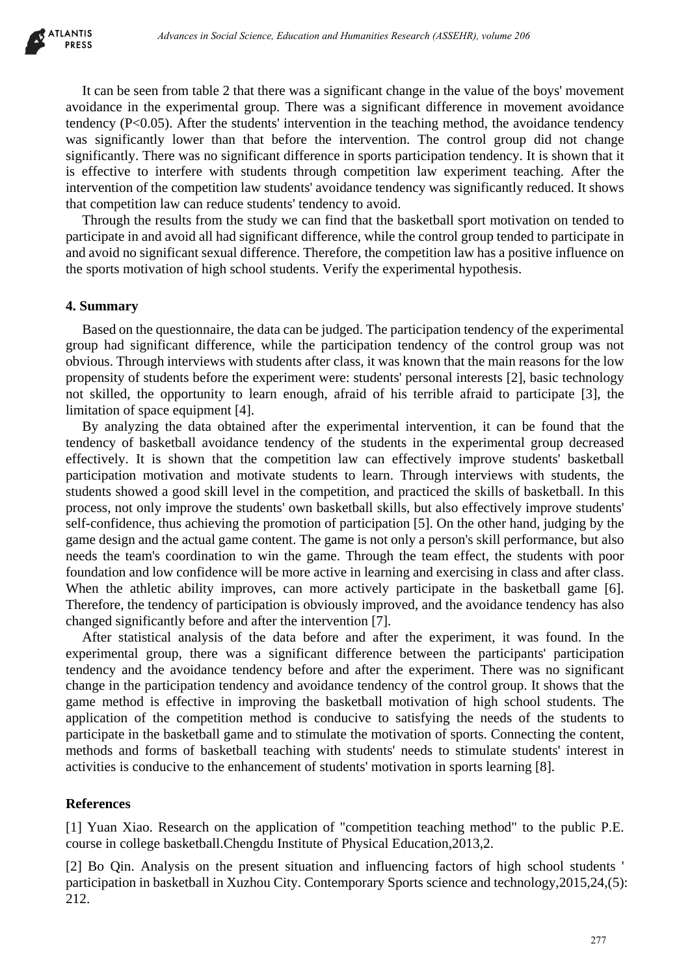It can be seen from table 2 that there was a significant change in the value of the boys' movement avoidance in the experimental group. There was a significant difference in movement avoidance tendency (P<0.05). After the students' intervention in the teaching method, the avoidance tendency was significantly lower than that before the intervention. The control group did not change significantly. There was no significant difference in sports participation tendency. It is shown that it is effective to interfere with students through competition law experiment teaching. After the intervention of the competition law students' avoidance tendency was significantly reduced. It shows that competition law can reduce students' tendency to avoid.

Through the results from the study we can find that the basketball sport motivation on tended to participate in and avoid all had significant difference, while the control group tended to participate in and avoid no significant sexual difference. Therefore, the competition law has a positive influence on the sports motivation of high school students. Verify the experimental hypothesis.

#### **4. Summary**

Based on the questionnaire, the data can be judged. The participation tendency of the experimental group had significant difference, while the participation tendency of the control group was not obvious. Through interviews with students after class, it was known that the main reasons for the low propensity of students before the experiment were: students' personal interests [2], basic technology not skilled, the opportunity to learn enough, afraid of his terrible afraid to participate [3], the limitation of space equipment [4].

By analyzing the data obtained after the experimental intervention, it can be found that the tendency of basketball avoidance tendency of the students in the experimental group decreased effectively. It is shown that the competition law can effectively improve students' basketball participation motivation and motivate students to learn. Through interviews with students, the students showed a good skill level in the competition, and practiced the skills of basketball. In this process, not only improve the students' own basketball skills, but also effectively improve students' self-confidence, thus achieving the promotion of participation [5]. On the other hand, judging by the game design and the actual game content. The game is not only a person's skill performance, but also needs the team's coordination to win the game. Through the team effect, the students with poor foundation and low confidence will be more active in learning and exercising in class and after class. When the athletic ability improves, can more actively participate in the basketball game [6]. Therefore, the tendency of participation is obviously improved, and the avoidance tendency has also changed significantly before and after the intervention [7]. *Advances in Social Xiense, Education Humanities Research (ASSEHR), where 266*<br>
From table 2 that there was a significant charges in the value of the boys' movements a volume<br>
corresponding trym, There was a significant di

After statistical analysis of the data before and after the experiment, it was found. In the experimental group, there was a significant difference between the participants' participation tendency and the avoidance tendency before and after the experiment. There was no significant change in the participation tendency and avoidance tendency of the control group. It shows that the game method is effective in improving the basketball motivation of high school students. The application of the competition method is conducive to satisfying the needs of the students to participate in the basketball game and to stimulate the motivation of sports. Connecting the content, methods and forms of basketball teaching with students' needs to stimulate students' interest in activities is conducive to the enhancement of students' motivation in sports learning [8].

### **References**

[1] Yuan Xiao. Research on the application of "competition teaching method" to the public P.E. course in college basketball.Chengdu Institute of Physical Education,2013,2.

[2] Bo Qin. Analysis on the present situation and influencing factors of high school students ' participation in basketball in Xuzhou City. Contemporary Sports science and technology,2015,24,(5): 212.